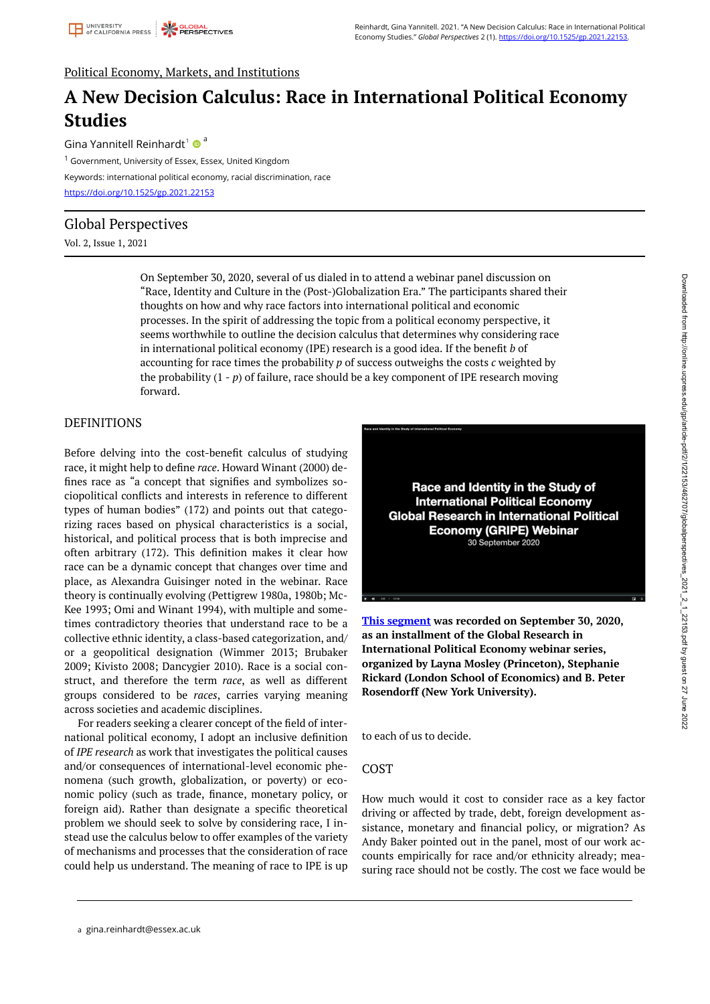# Political Economy, Markets, and Institutions

# **A New Decision Calculus: Race in International Political Economy Studies**

Gina Yannitell Reinhardt<sup>1</sup>  $\bullet$ <sup>a</sup> <sup>1</sup> Government, University of Essex, Essex, United Kingdom Keywords: international political economy, racial discrimination, race <https://doi.org/10.1525/gp.2021.22153>

# Global Perspectives

# Vol. 2, Issue 1, 2021

On September 30, 2020, several of us dialed in to attend a webinar panel discussion on "Race, Identity and Culture in the (Post-)Globalization Era." The participants shared their thoughts on how and why race factors into international political and economic processes. In the spirit of addressing the topic from a political economy perspective, it seems worthwhile to outline the decision calculus that determines why considering race in international political economy (IPE) research is a good idea. If the benefit *b* of accounting for race times the probability *p* of success outweighs the costs *c* weighted by the probability  $(1 - p)$  of failure, race should be a key component of IPE research moving forward.

# **DEFINITIONS**

Before delving into the cost-benefit calculus of studying race, it might help to define *race*. Howard Winant (2000) defines race as "a concept that signifies and symbolizes sociopolitical conflicts and interests in reference to different types of human bodies" (172) and points out that categorizing races based on physical characteristics is a social, historical, and political process that is both imprecise and often arbitrary (172). This definition makes it clear how race can be a dynamic concept that changes over time and place, as Alexandra Guisinger noted in the webinar. Race theory is continually evolving (Pettigrew 1980a, 1980b; Mc-Kee 1993; Omi and Winant 1994), with multiple and sometimes contradictory theories that understand race to be a collective ethnic identity, a class-based categorization, and/ or a geopolitical designation (Wimmer 2013; Brubaker 2009; Kivisto 2008; Dancygier 2010). Race is a social construct, and therefore the term *race*, as well as different groups considered to be *races*, carries varying meaning across societies and academic disciplines.

For readers seeking a clearer concept of the field of international political economy, I adopt an inclusive definition of *IPE research* as work that investigates the political causes and/or consequences of international-level economic phenomena (such growth, globalization, or poverty) or economic policy (such as trade, finance, monetary policy, or foreign aid). Rather than designate a specific theoretical problem we should seek to solve by considering race, I instead use the calculus below to offer examples of the variety of mechanisms and processes that the consideration of race could help us understand. The meaning of race to IPE is up



**[This segment](https://players.brightcove.net/3906942878001/jYz8ZSef_default/index.html?videoId=6246332763001) was recorded on September 30, 2020, as an installment of the Global Research in International Political Economy webinar series, organized by Layna Mosley (Princeton), Stephanie Rickard (London School of Economics) and B. Peter Rosendorff (New York University).** 

to each of us to decide.

## COST

How much would it cost to consider race as a key factor driving or affected by trade, debt, foreign development assistance, monetary and financial policy, or migration? As Andy Baker pointed out in the panel, most of our work accounts empirically for race and/or ethnicity already; measuring race should not be costly. The cost we face would be

a gina.reinhardt@essex.ac.uk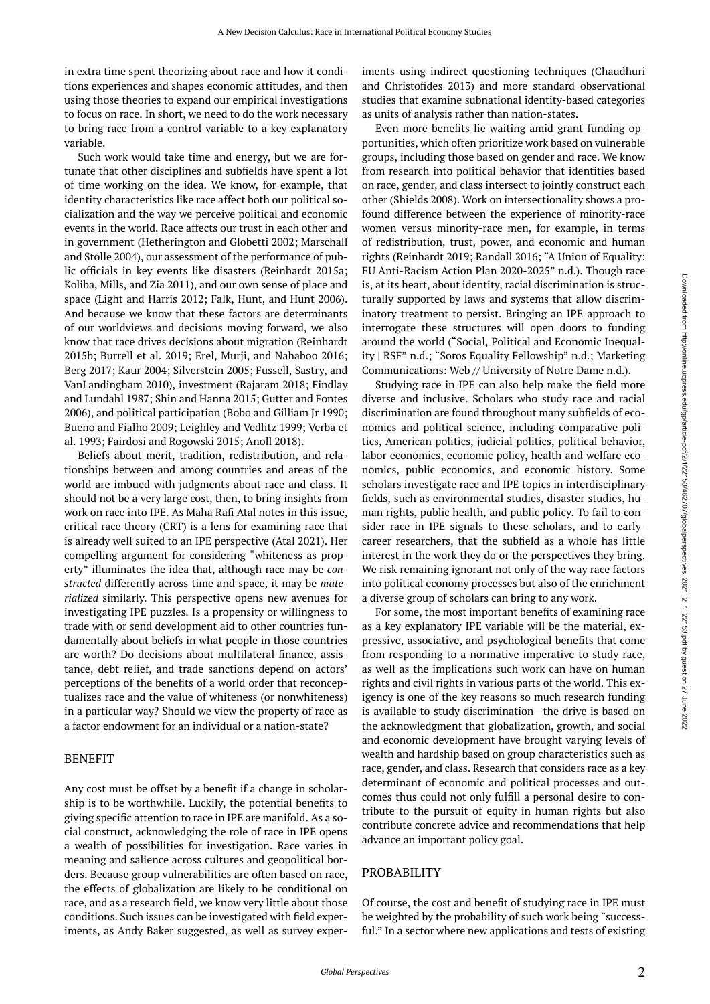in extra time spent theorizing about race and how it conditions experiences and shapes economic attitudes, and then using those theories to expand our empirical investigations to focus on race. In short, we need to do the work necessary to bring race from a control variable to a key explanatory variable.

Such work would take time and energy, but we are fortunate that other disciplines and subfields have spent a lot of time working on the idea. We know, for example, that identity characteristics like race affect both our political socialization and the way we perceive political and economic events in the world. Race affects our trust in each other and in government (Hetherington and Globetti 2002; Marschall and Stolle 2004), our assessment of the performance of public officials in key events like disasters (Reinhardt 2015a; Koliba, Mills, and Zia 2011), and our own sense of place and space (Light and Harris 2012; Falk, Hunt, and Hunt 2006). And because we know that these factors are determinants of our worldviews and decisions moving forward, we also know that race drives decisions about migration (Reinhardt 2015b; Burrell et al. 2019; Erel, Murji, and Nahaboo 2016; Berg 2017; Kaur 2004; Silverstein 2005; Fussell, Sastry, and VanLandingham 2010), investment (Rajaram 2018; Findlay and Lundahl 1987; Shin and Hanna 2015; Gutter and Fontes 2006), and political participation (Bobo and Gilliam Jr 1990; Bueno and Fialho 2009; Leighley and Vedlitz 1999; Verba et al. 1993; Fairdosi and Rogowski 2015; Anoll 2018).

Beliefs about merit, tradition, redistribution, and relationships between and among countries and areas of the world are imbued with judgments about race and class. It should not be a very large cost, then, to bring insights from work on race into IPE. As Maha Rafi Atal notes in this issue, critical race theory (CRT) is a lens for examining race that is already well suited to an IPE perspective (Atal 2021). Her compelling argument for considering "whiteness as property" illuminates the idea that, although race may be *constructed* differently across time and space, it may be *materialized* similarly. This perspective opens new avenues for investigating IPE puzzles. Is a propensity or willingness to trade with or send development aid to other countries fundamentally about beliefs in what people in those countries are worth? Do decisions about multilateral finance, assistance, debt relief, and trade sanctions depend on actors' perceptions of the benefits of a world order that reconceptualizes race and the value of whiteness (or nonwhiteness) in a particular way? Should we view the property of race as a factor endowment for an individual or a nation-state?

#### BENEFIT

Any cost must be offset by a benefit if a change in scholarship is to be worthwhile. Luckily, the potential benefits to giving specific attention to race in IPE are manifold. As a social construct, acknowledging the role of race in IPE opens a wealth of possibilities for investigation. Race varies in meaning and salience across cultures and geopolitical borders. Because group vulnerabilities are often based on race, the effects of globalization are likely to be conditional on race, and as a research field, we know very little about those conditions. Such issues can be investigated with field experiments, as Andy Baker suggested, as well as survey exper-

iments using indirect questioning techniques (Chaudhuri and Christofides 2013) and more standard observational studies that examine subnational identity-based categories as units of analysis rather than nation-states.

Even more benefits lie waiting amid grant funding opportunities, which often prioritize work based on vulnerable groups, including those based on gender and race. We know from research into political behavior that identities based on race, gender, and class intersect to jointly construct each other (Shields 2008). Work on intersectionality shows a profound difference between the experience of minority-race women versus minority-race men, for example, in terms of redistribution, trust, power, and economic and human rights (Reinhardt 2019; Randall 2016; "A Union of Equality: EU Anti-Racism Action Plan 2020-2025" n.d.). Though race is, at its heart, about identity, racial discrimination is structurally supported by laws and systems that allow discriminatory treatment to persist. Bringing an IPE approach to interrogate these structures will open doors to funding around the world ("Social, Political and Economic Inequality | RSF" n.d.; "Soros Equality Fellowship" n.d.; Marketing Communications: Web // University of Notre Dame n.d.).

Studying race in IPE can also help make the field more diverse and inclusive. Scholars who study race and racial discrimination are found throughout many subfields of economics and political science, including comparative politics, American politics, judicial politics, political behavior, labor economics, economic policy, health and welfare economics, public economics, and economic history. Some scholars investigate race and IPE topics in interdisciplinary fields, such as environmental studies, disaster studies, human rights, public health, and public policy. To fail to consider race in IPE signals to these scholars, and to earlycareer researchers, that the subfield as a whole has little interest in the work they do or the perspectives they bring. We risk remaining ignorant not only of the way race factors into political economy processes but also of the enrichment a diverse group of scholars can bring to any work.

For some, the most important benefits of examining race as a key explanatory IPE variable will be the material, expressive, associative, and psychological benefits that come from responding to a normative imperative to study race, as well as the implications such work can have on human rights and civil rights in various parts of the world. This exigency is one of the key reasons so much research funding is available to study discrimination—the drive is based on the acknowledgment that globalization, growth, and social and economic development have brought varying levels of wealth and hardship based on group characteristics such as race, gender, and class. Research that considers race as a key determinant of economic and political processes and outcomes thus could not only fulfill a personal desire to contribute to the pursuit of equity in human rights but also contribute concrete advice and recommendations that help advance an important policy goal.

## PROBABILITY

Of course, the cost and benefit of studying race in IPE must be weighted by the probability of such work being "successful." In a sector where new applications and tests of existing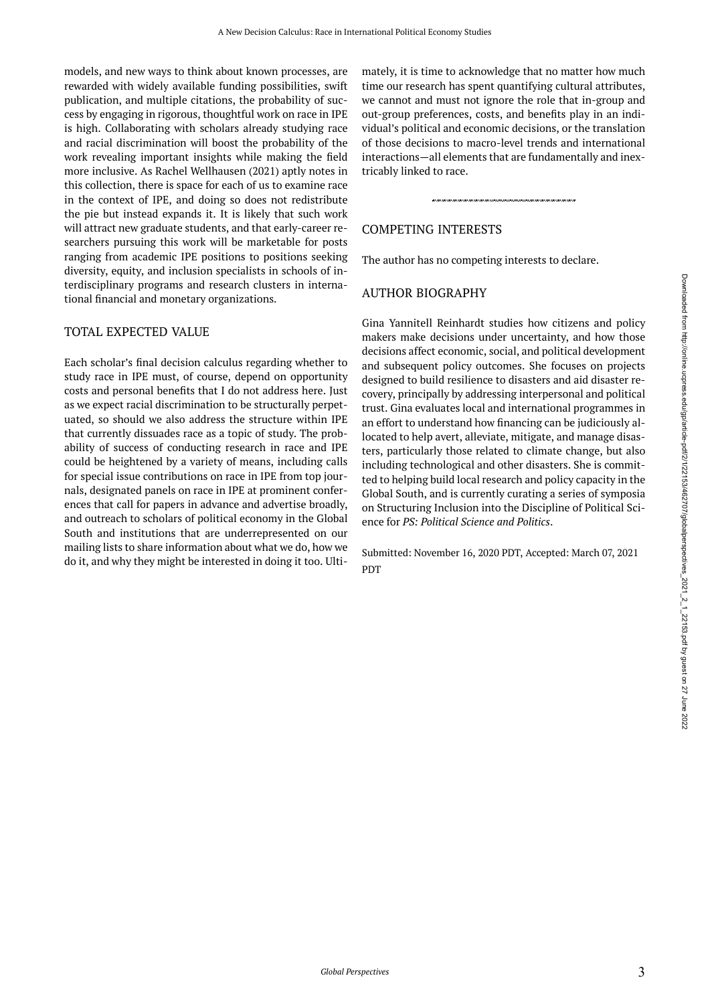models, and new ways to think about known processes, are rewarded with widely available funding possibilities, swift publication, and multiple citations, the probability of success by engaging in rigorous, thoughtful work on race in IPE is high. Collaborating with scholars already studying race and racial discrimination will boost the probability of the work revealing important insights while making the field more inclusive. As Rachel Wellhausen (2021) aptly notes in this collection, there is space for each of us to examine race in the context of IPE, and doing so does not redistribute the pie but instead expands it. It is likely that such work will attract new graduate students, and that early-career researchers pursuing this work will be marketable for posts ranging from academic IPE positions to positions seeking diversity, equity, and inclusion specialists in schools of interdisciplinary programs and research clusters in international financial and monetary organizations.

## TOTAL EXPECTED VALUE

Each scholar's final decision calculus regarding whether to study race in IPE must, of course, depend on opportunity costs and personal benefits that I do not address here. Just as we expect racial discrimination to be structurally perpetuated, so should we also address the structure within IPE that currently dissuades race as a topic of study. The probability of success of conducting research in race and IPE could be heightened by a variety of means, including calls for special issue contributions on race in IPE from top journals, designated panels on race in IPE at prominent conferences that call for papers in advance and advertise broadly, and outreach to scholars of political economy in the Global South and institutions that are underrepresented on our mailing lists to share information about what we do, how we do it, and why they might be interested in doing it too. Ultimately, it is time to acknowledge that no matter how much time our research has spent quantifying cultural attributes, we cannot and must not ignore the role that in-group and out-group preferences, costs, and benefits play in an individual's political and economic decisions, or the translation of those decisions to macro-level trends and international interactions—all elements that are fundamentally and inextricably linked to race.

## COMPETING INTERESTS

The author has no competing interests to declare.

# AUTHOR BIOGRAPHY

Gina Yannitell Reinhardt studies how citizens and policy makers make decisions under uncertainty, and how those decisions affect economic, social, and political development and subsequent policy outcomes. She focuses on projects designed to build resilience to disasters and aid disaster recovery, principally by addressing interpersonal and political trust. Gina evaluates local and international programmes in an effort to understand how financing can be judiciously allocated to help avert, alleviate, mitigate, and manage disasters, particularly those related to climate change, but also including technological and other disasters. She is committed to helping build local research and policy capacity in the Global South, and is currently curating a series of symposia on Structuring Inclusion into the Discipline of Political Science for *PS: Political Science and Politics*.

Submitted: November 16, 2020 PDT, Accepted: March 07, 2021 PDT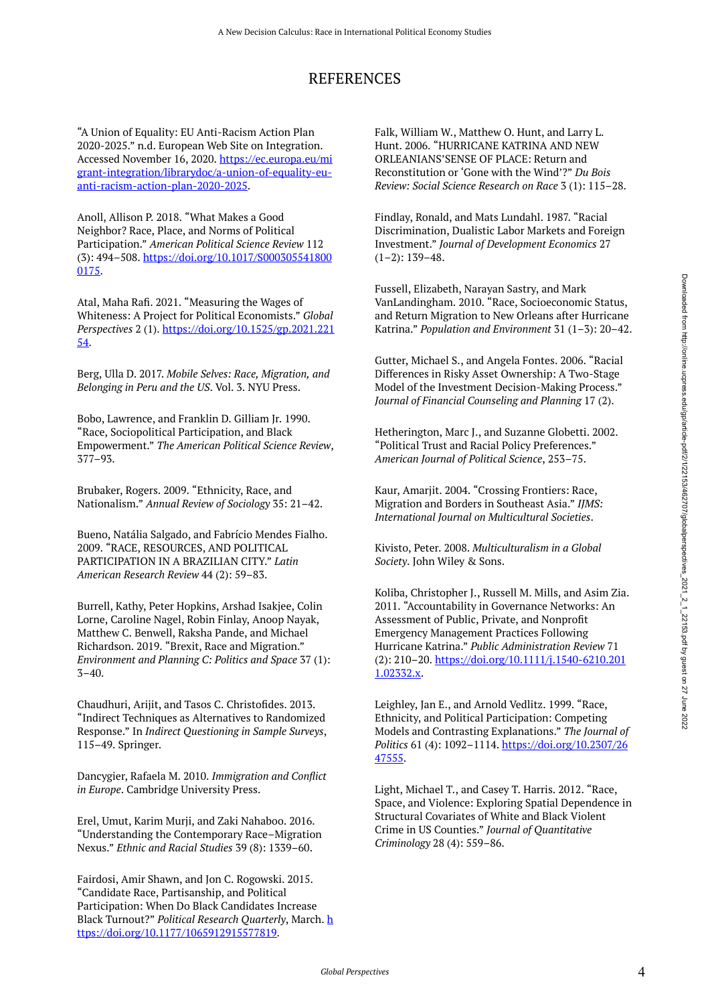# REFERENCES

"A Union of Equality: EU Anti-Racism Action Plan 2020-2025." n.d. European Web Site on Integration. Accessed November 16, 2020. [https://ec.europa.eu/mi](https://ec.europa.eu/migrant-integration/librarydoc/a-union-of-equality-eu-anti-racism-action-plan-2020-2025) [grant-integration/librarydoc/a-union-of-equality-eu](https://ec.europa.eu/migrant-integration/librarydoc/a-union-of-equality-eu-anti-racism-action-plan-2020-2025)[anti-racism-action-plan-2020-2025.](https://ec.europa.eu/migrant-integration/librarydoc/a-union-of-equality-eu-anti-racism-action-plan-2020-2025)

Anoll, Allison P. 2018. "What Makes a Good Neighbor? Race, Place, and Norms of Political Participation." *American Political Science Review* 112 (3): 494–508. [https://doi.org/10.1017/S000305541800](https://doi.org/10.1017/S0003055418000175) [0175.](https://doi.org/10.1017/S0003055418000175)

Atal, Maha Rafi. 2021. "Measuring the Wages of Whiteness: A Project for Political Economists." *Global Perspectives* 2 (1). [https://doi.org/10.1525/gp.2021.221](https://doi.org/10.1525/gp.2021.22154) [54](https://doi.org/10.1525/gp.2021.22154).

Berg, Ulla D. 2017. *Mobile Selves: Race, Migration, and Belonging in Peru and the US*. Vol. 3. NYU Press.

Bobo, Lawrence, and Franklin D. Gilliam Jr. 1990. "Race, Sociopolitical Participation, and Black Empowerment." *The American Political Science Review*, 377–93.

Brubaker, Rogers. 2009. "Ethnicity, Race, and Nationalism." *Annual Review of Sociology* 35: 21–42.

Bueno, Natália Salgado, and Fabrício Mendes Fialho. 2009. "RACE, RESOURCES, AND POLITICAL PARTICIPATION IN A BRAZILIAN CITY." *Latin American Research Review* 44 (2): 59–83.

Burrell, Kathy, Peter Hopkins, Arshad Isakjee, Colin Lorne, Caroline Nagel, Robin Finlay, Anoop Nayak, Matthew C. Benwell, Raksha Pande, and Michael Richardson. 2019. "Brexit, Race and Migration." *Environment and Planning C: Politics and Space* 37 (1):  $3 - 40.$ 

Chaudhuri, Arijit, and Tasos C. Christofides. 2013. "Indirect Techniques as Alternatives to Randomized Response." In *Indirect Questioning in Sample Surveys*, 115–49. Springer.

Dancygier, Rafaela M. 2010. *Immigration and Conflict in Europe*. Cambridge University Press.

Erel, Umut, Karim Murji, and Zaki Nahaboo. 2016. "Understanding the Contemporary Race–Migration Nexus." *Ethnic and Racial Studies* 39 (8): 1339–60.

Fairdosi, Amir Shawn, and Jon C. Rogowski. 2015. "Candidate Race, Partisanship, and Political Participation: When Do Black Candidates Increase Black Turnout?" *Political Research Quarterly*, March. [h](https://doi.org/10.1177/1065912915577819) [ttps://doi.org/10.1177/1065912915577819](https://doi.org/10.1177/1065912915577819).

Falk, William W., Matthew O. Hunt, and Larry L. Hunt. 2006. "HURRICANE KATRINA AND NEW ORLEANIANS'SENSE OF PLACE: Return and Reconstitution or 'Gone with the Wind'?" *Du Bois Review: Social Science Research on Race* 3 (1): 115–28.

Findlay, Ronald, and Mats Lundahl. 1987. "Racial Discrimination, Dualistic Labor Markets and Foreign Investment." *Journal of Development Economics* 27  $(1-2)$ : 139-48.

Fussell, Elizabeth, Narayan Sastry, and Mark VanLandingham. 2010. "Race, Socioeconomic Status, and Return Migration to New Orleans after Hurricane Katrina." *Population and Environment* 31 (1–3): 20–42.

Gutter, Michael S., and Angela Fontes. 2006. "Racial Differences in Risky Asset Ownership: A Two-Stage Model of the Investment Decision-Making Process." *Journal of Financial Counseling and Planning* 17 (2).

Hetherington, Marc J., and Suzanne Globetti. 2002. "Political Trust and Racial Policy Preferences." *American Journal of Political Science*, 253–75.

Kaur, Amarjit. 2004. "Crossing Frontiers: Race, Migration and Borders in Southeast Asia." *IJMS: International Journal on Multicultural Societies*.

Kivisto, Peter. 2008. *Multiculturalism in a Global Society*. John Wiley & Sons.

Koliba, Christopher J., Russell M. Mills, and Asim Zia. 2011. "Accountability in Governance Networks: An Assessment of Public, Private, and Nonprofit Emergency Management Practices Following Hurricane Katrina." *Public Administration Review* 71 (2): 210–20. [https://doi.org/10.1111/j.1540-6210.201](https://doi.org/10.1111/j.1540-6210.2011.02332.x) [1.02332.x.](https://doi.org/10.1111/j.1540-6210.2011.02332.x)

Leighley, Jan E., and Arnold Vedlitz. 1999. "Race, Ethnicity, and Political Participation: Competing Models and Contrasting Explanations." *The Journal of Politics* 61 (4): 1092–1114. [https://doi.org/10.2307/26](https://doi.org/10.2307/2647555) [47555](https://doi.org/10.2307/2647555).

Light, Michael T., and Casey T. Harris. 2012. "Race, Space, and Violence: Exploring Spatial Dependence in Structural Covariates of White and Black Violent Crime in US Counties." *Journal of Quantitative Criminology* 28 (4): 559–86.